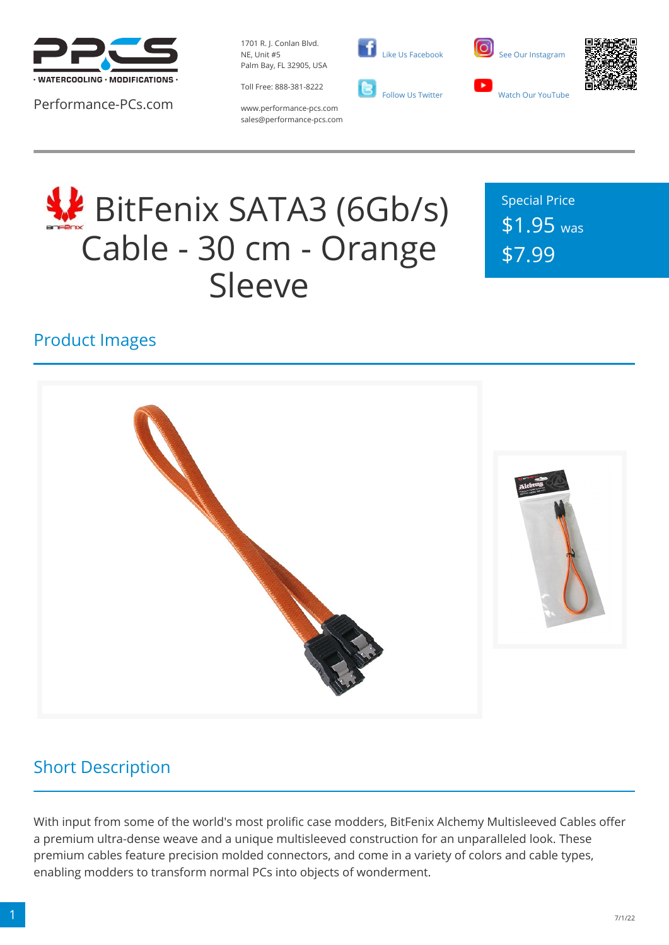

Performance-PCs.com

1701 R. J. Conlan Blvd. NE, Unit #5 Palm Bay, FL 32905, USA

Toll Free: 888-381-8222







www.performance-pcs.com sales@performance-pcs.com

# **WE** BitFenix SATA3 (6Gb/s) Cable - 30 cm - Orange Sleeve

Special Price \$1.95 was \$7.99

## Product Images



## Short Description

With input from some of the world's most prolific case modders, BitFenix Alchemy Multisleeved Cables offer a premium ultra-dense weave and a unique multisleeved construction for an unparalleled look. These premium cables feature precision molded connectors, and come in a variety of colors and cable types, enabling modders to transform normal PCs into objects of wonderment.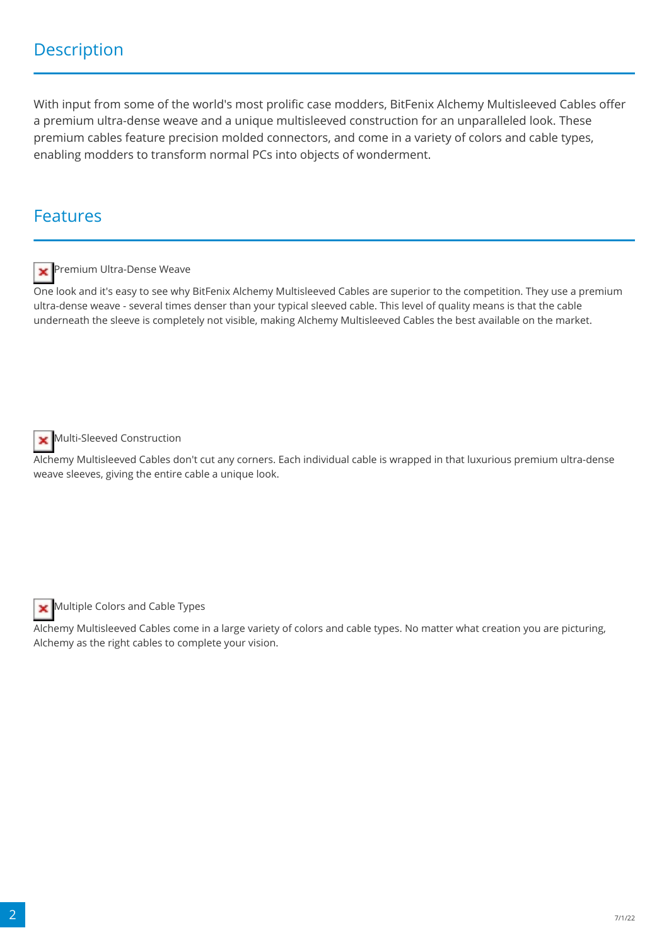With input from some of the world's most prolific case modders, BitFenix Alchemy Multisleeved Cables offer a premium ultra-dense weave and a unique multisleeved construction for an unparalleled look. These premium cables feature precision molded connectors, and come in a variety of colors and cable types, enabling modders to transform normal PCs into objects of wonderment.

#### Features



**Premium Ultra-Dense Weaver** 

One look and it's easy to see why BitFenix Alchemy Multisleeved Cables are superior to the competition. They use a premium ultra-dense weave - several times denser than your typical sleeved cable. This level of quality means is that the cable underneath the sleeve is completely not visible, making Alchemy Multisleeved Cables the best available on the market.



Multi-Sleeved Construction

Alchemy Multisleeved Cables don't cut any corners. Each individual cable is wrapped in that luxurious premium ultra-dense weave sleeves, giving the entire cable a unique look.



Multiple Colors and Cable Types

Alchemy Multisleeved Cables come in a large variety of colors and cable types. No matter what creation you are picturing, Alchemy as the right cables to complete your vision.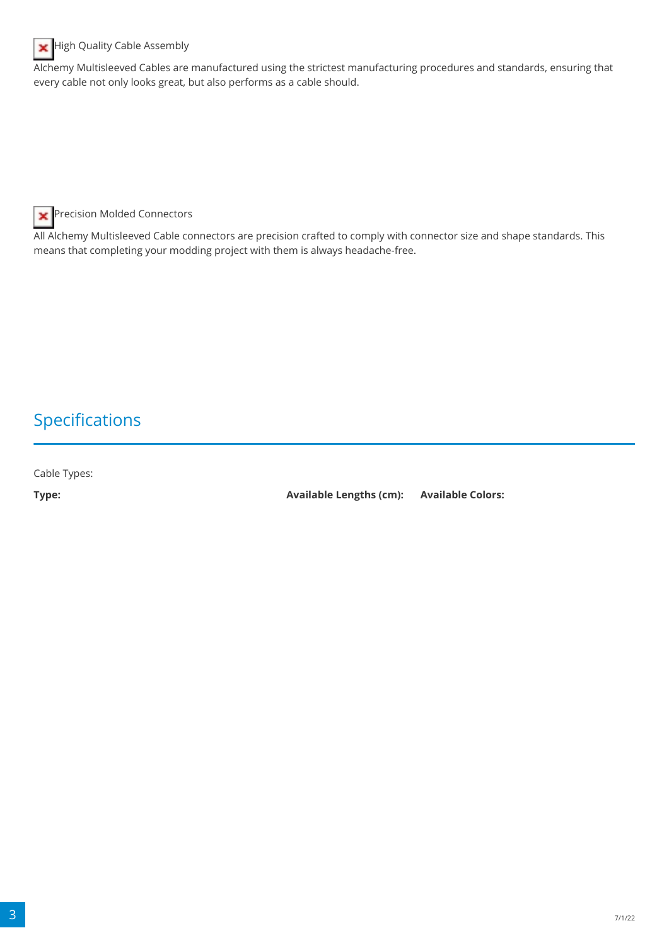

**High Quality Cable Assembly** 

Alchemy Multisleeved Cables are manufactured using the strictest manufacturing procedures and standards, ensuring that every cable not only looks great, but also performs as a cable should.

**R** Precision Molded Connectors

All Alchemy Multisleeved Cable connectors are precision crafted to comply with connector size and shape standards. This means that completing your modding project with them is always headache-free.

#### Specifications

Cable Types:

**Type: Available Lengths (cm): Available Colors:**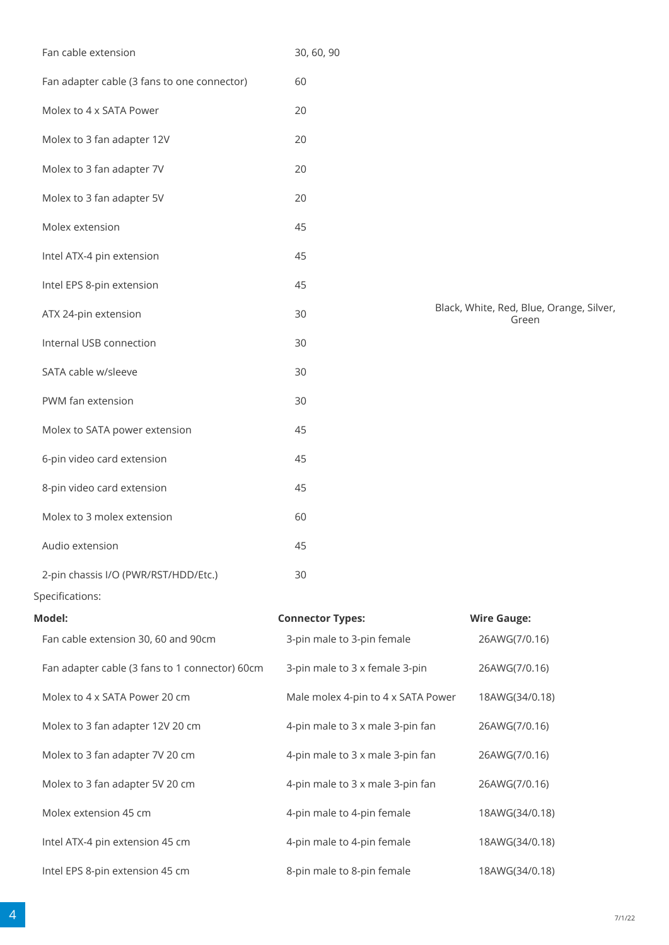| Fan adapter cable (3 fans to one connector)    | 60                                 |                                                   |
|------------------------------------------------|------------------------------------|---------------------------------------------------|
| Molex to 4 x SATA Power                        | 20                                 |                                                   |
| Molex to 3 fan adapter 12V                     | 20                                 |                                                   |
| Molex to 3 fan adapter 7V                      | 20                                 |                                                   |
| Molex to 3 fan adapter 5V                      | 20                                 |                                                   |
| Molex extension                                | 45                                 |                                                   |
| Intel ATX-4 pin extension                      | 45                                 |                                                   |
| Intel EPS 8-pin extension                      | 45                                 |                                                   |
| ATX 24-pin extension                           | 30                                 | Black, White, Red, Blue, Orange, Silver,<br>Green |
| Internal USB connection                        | 30                                 |                                                   |
| SATA cable w/sleeve                            | 30                                 |                                                   |
| PWM fan extension                              | 30                                 |                                                   |
| Molex to SATA power extension                  | 45                                 |                                                   |
| 6-pin video card extension                     | 45                                 |                                                   |
| 8-pin video card extension                     | 45                                 |                                                   |
| Molex to 3 molex extension                     | 60                                 |                                                   |
| Audio extension                                | 45                                 |                                                   |
| 2-pin chassis I/O (PWR/RST/HDD/Etc.)           | 30                                 |                                                   |
| Specifications:                                |                                    |                                                   |
| Model:                                         | <b>Connector Types:</b>            | <b>Wire Gauge:</b>                                |
| Fan cable extension 30, 60 and 90cm            | 3-pin male to 3-pin female         | 26AWG(7/0.16)                                     |
| Fan adapter cable (3 fans to 1 connector) 60cm | 3-pin male to 3 x female 3-pin     | 26AWG(7/0.16)                                     |
| Molex to 4 x SATA Power 20 cm                  | Male molex 4-pin to 4 x SATA Power | 18AWG(34/0.18)                                    |
| Molex to 3 fan adapter 12V 20 cm               | 4-pin male to 3 x male 3-pin fan   | 26AWG(7/0.16)                                     |
| Molex to 3 fan adapter 7V 20 cm                | 4-pin male to 3 x male 3-pin fan   | 26AWG(7/0.16)                                     |
| Molex to 3 fan adapter 5V 20 cm                | 4-pin male to 3 x male 3-pin fan   | 26AWG(7/0.16)                                     |
| Molex extension 45 cm                          | 4-pin male to 4-pin female         | 18AWG(34/0.18)                                    |
| Intel ATX-4 pin extension 45 cm                | 4-pin male to 4-pin female         | 18AWG(34/0.18)                                    |
| Intel EPS 8-pin extension 45 cm                | 8-pin male to 8-pin female         | 18AWG(34/0.18)                                    |
|                                                |                                    |                                                   |

Fan cable extension 30, 60, 90